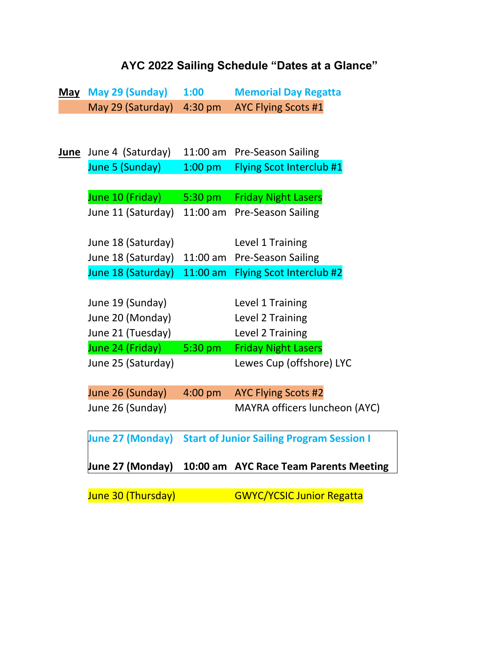## **AYC 2022 Sailing Schedule "Dates at a Glance"**

|             | May May 29 (Sunday) | 1:00              | <b>Memorial Day Regatta</b>                      |
|-------------|---------------------|-------------------|--------------------------------------------------|
|             | May 29 (Saturday)   | 4:30 pm           | <b>AYC Flying Scots #1</b>                       |
|             |                     |                   |                                                  |
|             |                     |                   |                                                  |
| <u>June</u> | June 4 (Saturday)   | 11:00 am          | <b>Pre-Season Sailing</b>                        |
|             | June 5 (Sunday)     | $1:00$ pm         | <b>Flying Scot Interclub #1</b>                  |
|             |                     |                   |                                                  |
|             | June 10 (Friday)    | $5:30 \text{ pm}$ | <b>Friday Night Lasers</b>                       |
|             | June 11 (Saturday)  | $11:00$ am        | <b>Pre-Season Sailing</b>                        |
|             |                     |                   |                                                  |
|             | June 18 (Saturday)  |                   | Level 1 Training                                 |
|             | June 18 (Saturday)  | 11:00 am          | <b>Pre-Season Sailing</b>                        |
|             | June 18 (Saturday)  | $11:00$ am        | Flying Scot Interclub #2                         |
|             |                     |                   |                                                  |
|             | June 19 (Sunday)    |                   | Level 1 Training                                 |
|             | June 20 (Monday)    |                   | Level 2 Training                                 |
|             | June 21 (Tuesday)   |                   | Level 2 Training                                 |
|             | June 24 (Friday)    | $5:30$ pm         | <b>Friday Night Lasers</b>                       |
|             | June 25 (Saturday)  |                   | Lewes Cup (offshore) LYC                         |
|             |                     |                   |                                                  |
|             | June 26 (Sunday)    | 4:00 pm           | <b>AYC Flying Scots #2</b>                       |
|             | June 26 (Sunday)    |                   | MAYRA officers luncheon (AYC)                    |
|             |                     |                   |                                                  |
|             | June 27 (Monday)    |                   | <b>Start of Junior Sailing Program Session I</b> |
|             |                     |                   |                                                  |
|             | June 27 (Monday)    |                   | 10:00 am AYC Race Team Parents Meeting           |
|             |                     |                   |                                                  |
|             | June 30 (Thursday)  |                   | <b>GWYC/YCSIC Junior Regatta</b>                 |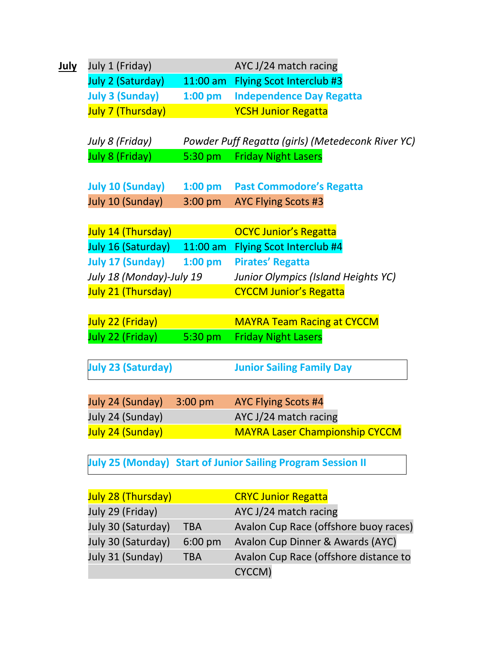|  | July 1 (Friday)           |                    | AYC J/24 match racing                                              |
|--|---------------------------|--------------------|--------------------------------------------------------------------|
|  | July 2 (Saturday)         |                    | 11:00 am Flying Scot Interclub #3                                  |
|  | <b>July 3 (Sunday)</b>    | $1:00$ pm          | <b>Independence Day Regatta</b>                                    |
|  | July 7 (Thursday)         |                    | <b>YCSH Junior Regatta</b>                                         |
|  |                           |                    |                                                                    |
|  | July 8 (Friday)           |                    | Powder Puff Regatta (girls) (Metedeconk River YC)                  |
|  | <b>July 8 (Friday)</b>    | $5:30~\mathrm{pm}$ | <b>Friday Night Lasers</b>                                         |
|  | <b>July 10 (Sunday)</b>   | $1:00$ pm          | <b>Past Commodore's Regatta</b>                                    |
|  | July 10 (Sunday)          | $3:00 \text{ pm}$  | <b>AYC Flying Scots #3</b>                                         |
|  |                           |                    |                                                                    |
|  | July 14 (Thursday)        |                    | <b>OCYC Junior's Regatta</b>                                       |
|  | July 16 (Saturday)        | $11:00$ am         | <b>Flying Scot Interclub #4</b>                                    |
|  | July 17 (Sunday)          | $1:00$ pm          | <b>Pirates' Regatta</b>                                            |
|  | July 18 (Monday)-July 19  |                    | Junior Olympics (Island Heights YC)                                |
|  | July 21 (Thursday)        |                    | <b>CYCCM Junior's Regatta</b>                                      |
|  |                           |                    |                                                                    |
|  | July 22 (Friday)          |                    | <b>MAYRA Team Racing at CYCCM</b>                                  |
|  | July 22 (Friday)          | 5:30 pm            | <b>Friday Night Lasers</b>                                         |
|  |                           |                    |                                                                    |
|  | <b>July 23 (Saturday)</b> |                    | <b>Junior Sailing Family Day</b>                                   |
|  | July 24 (Sunday)          | 3:00 pm            |                                                                    |
|  |                           |                    | <b>AYC Flying Scots #4</b>                                         |
|  | July 24 (Sunday)          |                    | AYC J/24 match racing                                              |
|  | July 24 (Sunday)          |                    | <b>MAYRA Laser Championship CYCCM</b>                              |
|  |                           |                    | <b>July 25 (Monday) Start of Junior Sailing Program Session II</b> |
|  | July 28 (Thursday)        |                    | <b>CRYC Junior Regatta</b>                                         |
|  | July 29 (Friday)          |                    | AYC J/24 match racing                                              |
|  | July 30 (Saturday)        | <b>TBA</b>         | Avalon Cup Race (offshore buoy races)                              |
|  | July 30 (Saturday)        | 6:00 pm            | Avalon Cup Dinner & Awards (AYC)                                   |
|  | July 31 (Sunday)          | <b>TBA</b>         | Avalon Cup Race (offshore distance to                              |
|  |                           |                    | CYCCM)                                                             |
|  |                           |                    |                                                                    |